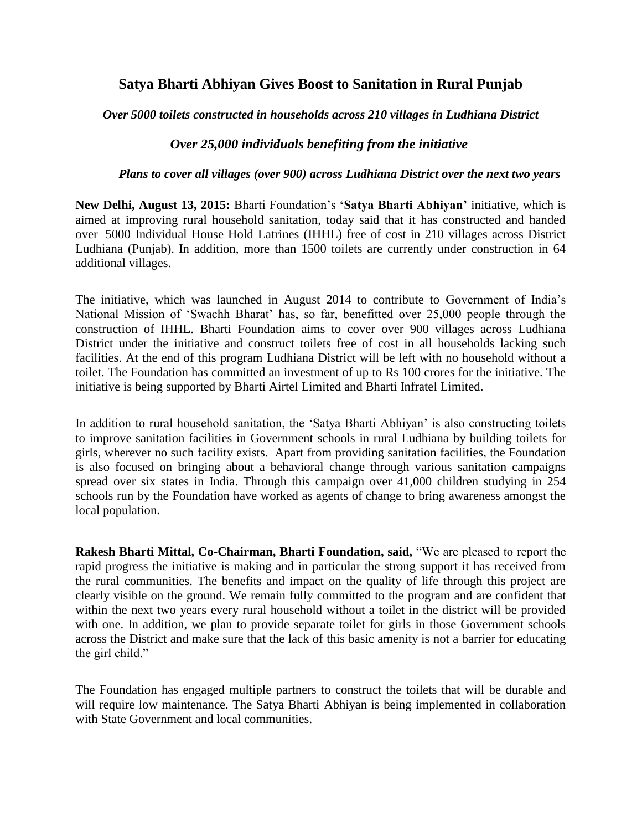## **Satya Bharti Abhiyan Gives Boost to Sanitation in Rural Punjab**

*Over 5000 toilets constructed in households across 210 villages in Ludhiana District*

## *Over 25,000 individuals benefiting from the initiative*

## *Plans to cover all villages (over 900) across Ludhiana District over the next two years*

**New Delhi, August 13, 2015:** Bharti Foundation's **'Satya Bharti Abhiyan'** initiative, which is aimed at improving rural household sanitation, today said that it has constructed and handed over 5000 Individual House Hold Latrines (IHHL) free of cost in 210 villages across District Ludhiana (Punjab). In addition, more than 1500 toilets are currently under construction in 64 additional villages.

The initiative, which was launched in August 2014 to contribute to Government of India's National Mission of 'Swachh Bharat' has, so far, benefitted over 25,000 people through the construction of IHHL. Bharti Foundation aims to cover over 900 villages across Ludhiana District under the initiative and construct toilets free of cost in all households lacking such facilities. At the end of this program Ludhiana District will be left with no household without a toilet. The Foundation has committed an investment of up to Rs 100 crores for the initiative. The initiative is being supported by Bharti Airtel Limited and Bharti Infratel Limited.

In addition to rural household sanitation, the 'Satya Bharti Abhiyan' is also constructing toilets to improve sanitation facilities in Government schools in rural Ludhiana by building toilets for girls, wherever no such facility exists. Apart from providing sanitation facilities, the Foundation is also focused on bringing about a behavioral change through various sanitation campaigns spread over six states in India. Through this campaign over 41,000 children studying in 254 schools run by the Foundation have worked as agents of change to bring awareness amongst the local population.

**Rakesh Bharti Mittal, Co-Chairman, Bharti Foundation, said,** "We are pleased to report the rapid progress the initiative is making and in particular the strong support it has received from the rural communities. The benefits and impact on the quality of life through this project are clearly visible on the ground. We remain fully committed to the program and are confident that within the next two years every rural household without a toilet in the district will be provided with one. In addition, we plan to provide separate toilet for girls in those Government schools across the District and make sure that the lack of this basic amenity is not a barrier for educating the girl child."

The Foundation has engaged multiple partners to construct the toilets that will be durable and will require low maintenance. The Satya Bharti Abhiyan is being implemented in collaboration with State Government and local communities.